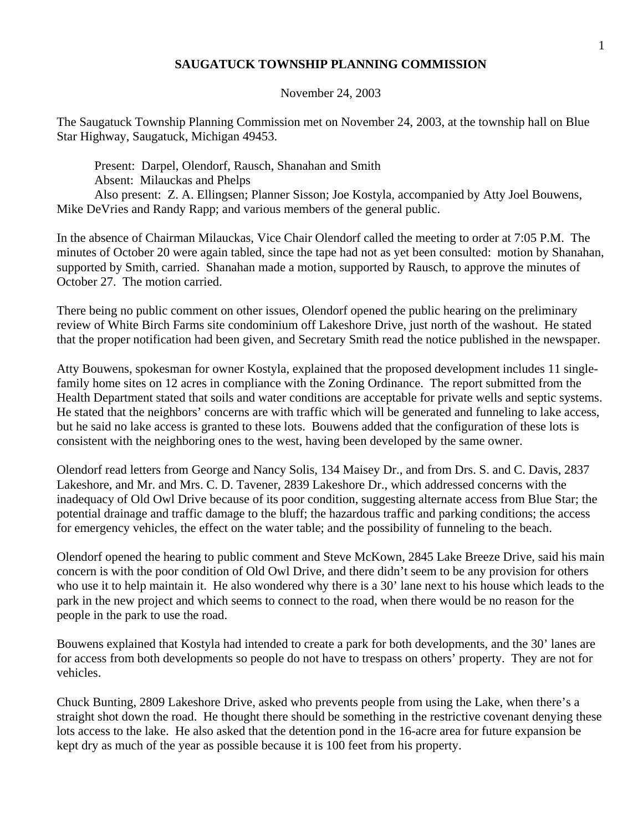## **SAUGATUCK TOWNSHIP PLANNING COMMISSION**

November 24, 2003

The Saugatuck Township Planning Commission met on November 24, 2003, at the township hall on Blue Star Highway, Saugatuck, Michigan 49453.

 Present: Darpel, Olendorf, Rausch, Shanahan and Smith Absent: Milauckas and Phelps Also present: Z. A. Ellingsen; Planner Sisson; Joe Kostyla, accompanied by Atty Joel Bouwens, Mike DeVries and Randy Rapp; and various members of the general public.

In the absence of Chairman Milauckas, Vice Chair Olendorf called the meeting to order at 7:05 P.M. The minutes of October 20 were again tabled, since the tape had not as yet been consulted: motion by Shanahan, supported by Smith, carried. Shanahan made a motion, supported by Rausch, to approve the minutes of October 27. The motion carried.

There being no public comment on other issues, Olendorf opened the public hearing on the preliminary review of White Birch Farms site condominium off Lakeshore Drive, just north of the washout. He stated that the proper notification had been given, and Secretary Smith read the notice published in the newspaper.

Atty Bouwens, spokesman for owner Kostyla, explained that the proposed development includes 11 singlefamily home sites on 12 acres in compliance with the Zoning Ordinance. The report submitted from the Health Department stated that soils and water conditions are acceptable for private wells and septic systems. He stated that the neighbors' concerns are with traffic which will be generated and funneling to lake access, but he said no lake access is granted to these lots. Bouwens added that the configuration of these lots is consistent with the neighboring ones to the west, having been developed by the same owner.

Olendorf read letters from George and Nancy Solis, 134 Maisey Dr., and from Drs. S. and C. Davis, 2837 Lakeshore, and Mr. and Mrs. C. D. Tavener, 2839 Lakeshore Dr., which addressed concerns with the inadequacy of Old Owl Drive because of its poor condition, suggesting alternate access from Blue Star; the potential drainage and traffic damage to the bluff; the hazardous traffic and parking conditions; the access for emergency vehicles, the effect on the water table; and the possibility of funneling to the beach.

Olendorf opened the hearing to public comment and Steve McKown, 2845 Lake Breeze Drive, said his main concern is with the poor condition of Old Owl Drive, and there didn't seem to be any provision for others who use it to help maintain it. He also wondered why there is a 30' lane next to his house which leads to the park in the new project and which seems to connect to the road, when there would be no reason for the people in the park to use the road.

Bouwens explained that Kostyla had intended to create a park for both developments, and the 30' lanes are for access from both developments so people do not have to trespass on others' property. They are not for vehicles.

Chuck Bunting, 2809 Lakeshore Drive, asked who prevents people from using the Lake, when there's a straight shot down the road. He thought there should be something in the restrictive covenant denying these lots access to the lake. He also asked that the detention pond in the 16-acre area for future expansion be kept dry as much of the year as possible because it is 100 feet from his property.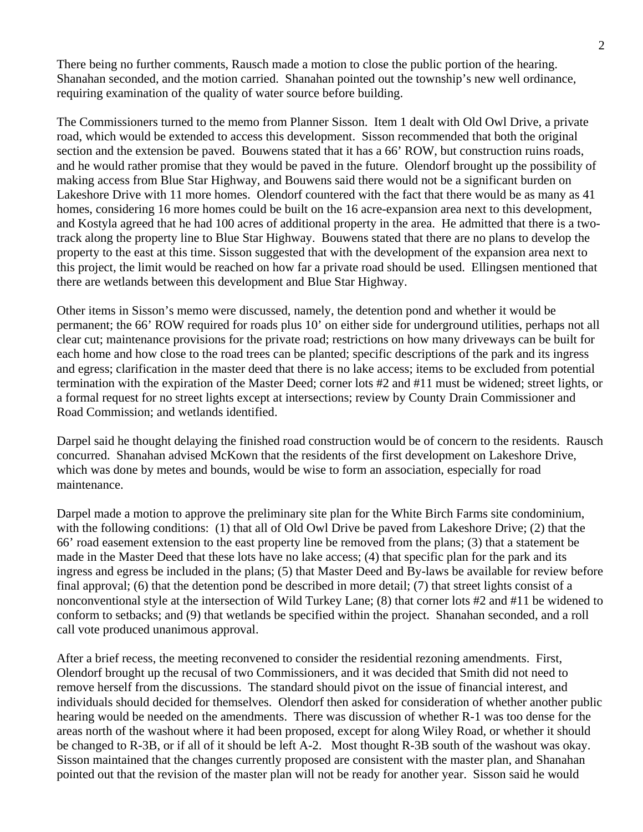There being no further comments, Rausch made a motion to close the public portion of the hearing. Shanahan seconded, and the motion carried. Shanahan pointed out the township's new well ordinance, requiring examination of the quality of water source before building.

The Commissioners turned to the memo from Planner Sisson. Item 1 dealt with Old Owl Drive, a private road, which would be extended to access this development. Sisson recommended that both the original section and the extension be paved. Bouwens stated that it has a 66' ROW, but construction ruins roads, and he would rather promise that they would be paved in the future. Olendorf brought up the possibility of making access from Blue Star Highway, and Bouwens said there would not be a significant burden on Lakeshore Drive with 11 more homes. Olendorf countered with the fact that there would be as many as 41 homes, considering 16 more homes could be built on the 16 acre-expansion area next to this development, and Kostyla agreed that he had 100 acres of additional property in the area. He admitted that there is a twotrack along the property line to Blue Star Highway. Bouwens stated that there are no plans to develop the property to the east at this time. Sisson suggested that with the development of the expansion area next to this project, the limit would be reached on how far a private road should be used. Ellingsen mentioned that there are wetlands between this development and Blue Star Highway.

Other items in Sisson's memo were discussed, namely, the detention pond and whether it would be permanent; the 66' ROW required for roads plus 10' on either side for underground utilities, perhaps not all clear cut; maintenance provisions for the private road; restrictions on how many driveways can be built for each home and how close to the road trees can be planted; specific descriptions of the park and its ingress and egress; clarification in the master deed that there is no lake access; items to be excluded from potential termination with the expiration of the Master Deed; corner lots #2 and #11 must be widened; street lights, or a formal request for no street lights except at intersections; review by County Drain Commissioner and Road Commission; and wetlands identified.

Darpel said he thought delaying the finished road construction would be of concern to the residents. Rausch concurred. Shanahan advised McKown that the residents of the first development on Lakeshore Drive, which was done by metes and bounds, would be wise to form an association, especially for road maintenance.

Darpel made a motion to approve the preliminary site plan for the White Birch Farms site condominium, with the following conditions: (1) that all of Old Owl Drive be paved from Lakeshore Drive; (2) that the 66' road easement extension to the east property line be removed from the plans; (3) that a statement be made in the Master Deed that these lots have no lake access; (4) that specific plan for the park and its ingress and egress be included in the plans; (5) that Master Deed and By-laws be available for review before final approval; (6) that the detention pond be described in more detail; (7) that street lights consist of a nonconventional style at the intersection of Wild Turkey Lane; (8) that corner lots #2 and #11 be widened to conform to setbacks; and (9) that wetlands be specified within the project. Shanahan seconded, and a roll call vote produced unanimous approval.

After a brief recess, the meeting reconvened to consider the residential rezoning amendments. First, Olendorf brought up the recusal of two Commissioners, and it was decided that Smith did not need to remove herself from the discussions. The standard should pivot on the issue of financial interest, and individuals should decided for themselves. Olendorf then asked for consideration of whether another public hearing would be needed on the amendments. There was discussion of whether R-1 was too dense for the areas north of the washout where it had been proposed, except for along Wiley Road, or whether it should be changed to R-3B, or if all of it should be left A-2. Most thought R-3B south of the washout was okay. Sisson maintained that the changes currently proposed are consistent with the master plan, and Shanahan pointed out that the revision of the master plan will not be ready for another year. Sisson said he would